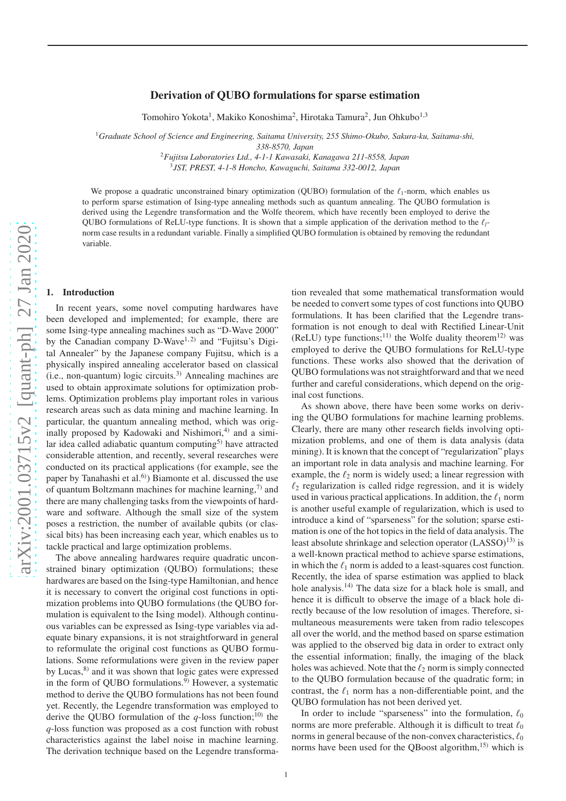# Derivation of QUBO formulations for sparse estimation

Tomohiro Yokota<sup>1</sup>, Makiko Konoshima<sup>2</sup>, Hirotaka Tamura<sup>2</sup>, Jun Ohkubo<sup>1,3</sup>

<sup>1</sup>*Graduate School of Science and Engineering, Saitama University, 255 Shimo-Okubo, Sakura-ku, Saitama-shi,*

*338-8570, Japan*

<sup>2</sup>*Fujitsu Laboratories Ltd., 4-1-1 Kawasaki, Kanagawa 211-8558, Japan* 3 *JST, PREST, 4-1-8 Honcho, Kawaguchi, Saitama 332-0012, Japan*

We propose a quadratic unconstrained binary optimization (QUBO) formulation of the  $\ell_1$ -norm, which enables us to perform sparse estimation of Ising-type annealing methods such as quantum annealing. The QUBO formulation is derived using the Legendre transformation and the Wolfe theorem, which have recently been employed to derive the QUBO formulations of ReLU-type functions. It is shown that a simple application of the derivation method to the ℓ*l*norm case results in a redundant variable. Finally a simplified QUBO formulation is obtained by removing the redundant variable.

#### 1. Introduction

In recent years, some novel computing hardwares have been developed and implemented; for example, there are some Ising-type annealing machines such as "D-Wave 2000" by the Canadian company D-Wave<sup>1,2)</sup> and "Fujitsu's Digital Annealer" by the Japanese company Fujitsu, which is a physically inspired annealing accelerator based on classical  $(i.e., non-quantum)$  logic circuits.<sup>3)</sup> Annealing machines are used to obtain approximate solutions for optimization problems. Optimization problems play important roles in various research areas such as data mining and machine learning. In particular, the quantum annealing method, which was originally proposed by Kadowaki and Nishimori, $4$ ) and a similar idea called adiabatic quantum computing<sup>5)</sup> have attracted considerable attention, and recently, several researches were conducted on its practical applications (for example, see the paper by Tanahashi et al.<sup>6)</sup>) Biamonte et al. discussed the use of quantum Boltzmann machines for machine learning, $\frac{7}{2}$  and there are many challenging tasks from the viewpoints of hardware and software. Although the small size of the system poses a restriction, the number of available qubits (or classical bits) has been increasing each year, which enables us to tackle practical and large optimization problems.

The above annealing hardwares require quadratic unconstrained binary optimization (QUBO) formulations; these hardwares are based on the Ising-type Hamiltonian, and hence it is necessary to convert the original cost functions in optimization problems into QUBO formulations (the QUBO formulation is equivalent to the Ising model). Although continuous variables can be expressed as Ising-type variables via adequate binary expansions, it is not straightforward in general to reformulate the original cost functions as QUBO formulations. Some reformulations were given in the review paper by Lucas,<sup>8)</sup> and it was shown that logic gates were expressed in the form of QUBO formulations. $9)$  However, a systematic method to derive the QUBO formulations has not been found yet. Recently, the Legendre transformation was employed to derive the QUBO formulation of the  $q$ -loss function;<sup>10)</sup> the *q*-loss function was proposed as a cost function with robust characteristics against the label noise in machine learning. The derivation technique based on the Legendre transformation revealed that some mathematical transformation would be needed to convert some types of cost functions into QUBO formulations. It has been clarified that the Legendre transformation is not enough to deal with Rectified Linear-Unit (ReLU) type functions;<sup>11)</sup> the Wolfe duality theorem<sup>12)</sup> was employed to derive the QUBO formulations for ReLU-type functions. These works also showed that the derivation of QUBO formulations was not straightforward and that we need further and careful considerations, which depend on the original cost functions.

As shown above, there have been some works on deriving the QUBO formulations for machine learning problems. Clearly, there are many other research fields involving optimization problems, and one of them is data analysis (data mining). It is known that the concept of "regularization" plays an important role in data analysis and machine learning. For example, the  $\ell_2$  norm is widely used; a linear regression with  $\ell_2$  regularization is called ridge regression, and it is widely used in various practical applications. In addition, the  $\ell_1$  norm is another useful example of regularization, which is used to introduce a kind of "sparseness" for the solution; sparse estimation is one of the hot topics in the field of data analysis. The least absolute shrinkage and selection operator  $(LASSO)^{13}$  is a well-known practical method to achieve sparse estimations, in which the  $\ell_1$  norm is added to a least-squares cost function. Recently, the idea of sparse estimation was applied to black hole analysis.<sup>14)</sup> The data size for a black hole is small, and hence it is difficult to observe the image of a black hole directly because of the low resolution of images. Therefore, simultaneous measurements were taken from radio telescopes all over the world, and the method based on sparse estimation was applied to the observed big data in order to extract only the essential information; finally, the imaging of the black holes was achieved. Note that the  $\ell_2$  norm is simply connected to the QUBO formulation because of the quadratic form; in contrast, the  $\ell_1$  norm has a non-differentiable point, and the QUBO formulation has not been derived yet.

In order to include "sparseness" into the formulation,  $\ell_0$ norms are more preferable. Although it is difficult to treat  $\ell_0$ norms in general because of the non-convex characteristics,  $\ell_0$ norms have been used for the OBoost algorithm.<sup>15)</sup> which is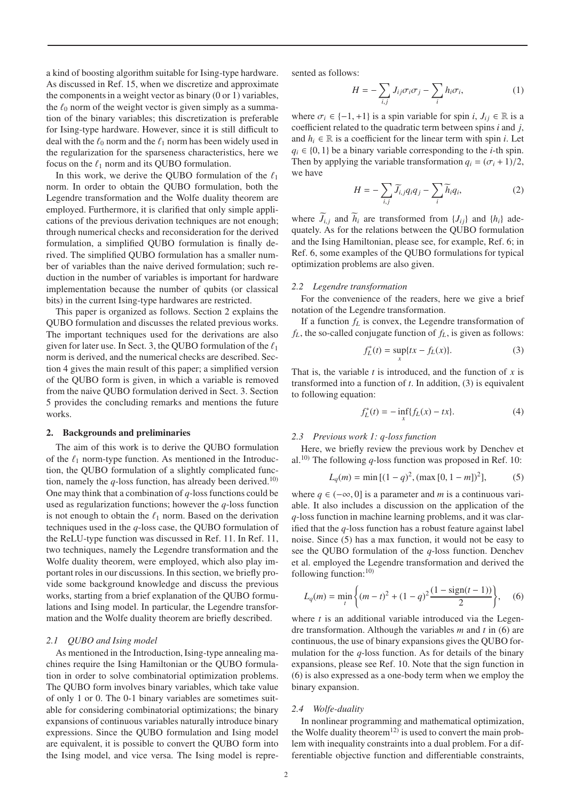a kind of boosting algorithm suitable for Ising-type hardware. As discussed in Ref. 15, when we discretize and approximate the components in a weight vector as binary  $(0 \text{ or } 1)$  variables, the  $\ell_0$  norm of the weight vector is given simply as a summation of the binary variables; this discretization is preferable for Ising-type hardware. However, since it is still difficult to deal with the  $\ell_0$  norm and the  $\ell_1$  norm has been widely used in the regularization for the sparseness characteristics, here we focus on the  $\ell_1$  norm and its QUBO formulation.

In this work, we derive the QUBO formulation of the  $\ell_1$ norm. In order to obtain the QUBO formulation, both the Legendre transformation and the Wolfe duality theorem are employed. Furthermore, it is clarified that only simple applications of the previous derivation techniques are not enough; through numerical checks and reconsideration for the derived formulation, a simplified QUBO formulation is finally derived. The simplified QUBO formulation has a smaller number of variables than the naive derived formulation; such reduction in the number of variables is important for hardware implementation because the number of qubits (or classical bits) in the current Ising-type hardwares are restricted.

This paper is organized as follows. Section 2 explains the QUBO formulation and discusses the related previous works. The important techniques used for the derivations are also given for later use. In Sect. 3, the QUBO formulation of the  $\ell_1$ norm is derived, and the numerical checks are described. Section 4 gives the main result of this paper; a simplified version of the QUBO form is given, in which a variable is removed from the naive QUBO formulation derived in Sect. 3. Section 5 provides the concluding remarks and mentions the future works.

#### 2. Backgrounds and preliminaries

The aim of this work is to derive the QUBO formulation of the  $\ell_1$  norm-type function. As mentioned in the Introduction, the QUBO formulation of a slightly complicated function, namely the  $q$ -loss function, has already been derived.<sup>10)</sup> One may think that a combination of *q*-loss functions could be used as regularization functions; however the *q*-loss function is not enough to obtain the  $\ell_1$  norm. Based on the derivation techniques used in the *q*-loss case, the QUBO formulation of the ReLU-type function was discussed in Ref. 11. In Ref. 11, two techniques, namely the Legendre transformation and the Wolfe duality theorem, were employed, which also play important roles in our discussions. In this section, we briefly provide some background knowledge and discuss the previous works, starting from a brief explanation of the QUBO formulations and Ising model. In particular, the Legendre transformation and the Wolfe duality theorem are briefly described.

#### *2.1 QUBO and Ising model*

As mentioned in the Introduction, Ising-type annealing machines require the Ising Hamiltonian or the QUBO formulation in order to solve combinatorial optimization problems. The QUBO form involves binary variables, which take value of only 1 or 0. The 0-1 binary variables are sometimes suitable for considering combinatorial optimizations; the binary expansions of continuous variables naturally introduce binary expressions. Since the QUBO formulation and Ising model are equivalent, it is possible to convert the QUBO form into the Ising model, and vice versa. The Ising model is represented as follows:

$$
H = -\sum_{i,j} J_{ij}\sigma_i\sigma_j - \sum_i h_i\sigma_i, \tag{1}
$$

where  $\sigma_i \in \{-1, +1\}$  is a spin variable for spin *i*,  $J_{ij} \in \mathbb{R}$  is a coefficient related to the quadratic term between spins *i* and *j*, and  $h_i \in \mathbb{R}$  is a coefficient for the linear term with spin *i*. Let  $q_i \in \{0, 1\}$  be a binary variable corresponding to the *i*-th spin. Then by applying the variable transformation  $q_i = (\sigma_i + 1)/2$ , we have

$$
H = -\sum_{i,j} \widetilde{J}_{i,j} q_i q_j - \sum_i \widetilde{h}_i q_i,\tag{2}
$$

where  $\widetilde{J}_{i,j}$  and  $\widetilde{h}_i$  are transformed from  $\{J_{ij}\}$  and  $\{h_i\}$  adequately. As for the relations between the QUBO formulation and the Ising Hamiltonian, please see, for example, Ref. 6; in Ref. 6, some examples of the QUBO formulations for typical optimization problems are also given.

# *2.2 Legendre transformation*

For the convenience of the readers, here we give a brief notation of the Legendre transformation.

If a function *f<sup>L</sup>* is convex, the Legendre transformation of  $f_L$ , the so-called conjugate function of  $f_L$ , is given as follows:

$$
f_L^*(t) = \sup_x \{tx - f_L(x)\}.
$$
 (3)

That is, the variable *t* is introduced, and the function of *x* is transformed into a function of *t*. In addition, (3) is equivalent to following equation:

$$
f_L^*(t) = -\inf_x \{ f_L(x) - tx \}. \tag{4}
$$

#### *2.3 Previous work 1: q-loss function*

Here, we briefly review the previous work by Denchev et al.<sup>10)</sup> The following  $q$ -loss function was proposed in Ref. 10:

$$
L_q(m) = \min\left[ (1-q)^2, (\max\left[0, 1-m\right])^2 \right],\tag{5}
$$

where  $q \in (-\infty, 0]$  is a parameter and *m* is a continuous variable. It also includes a discussion on the application of the *q*-loss function in machine learning problems, and it was clarified that the *q*-loss function has a robust feature against label noise. Since (5) has a max function, it would not be easy to see the QUBO formulation of the *q*-loss function. Denchev et al. employed the Legendre transformation and derived the following function: $^{10}$ 

$$
L_q(m) = \min_t \left\{ (m-t)^2 + (1-q)^2 \frac{(1-\text{sign}(t-1))}{2} \right\}, \quad (6)
$$

where *t* is an additional variable introduced via the Legendre transformation. Although the variables *m* and *t* in (6) are continuous, the use of binary expansions gives the QUBO formulation for the *q*-loss function. As for details of the binary expansions, please see Ref. 10. Note that the sign function in (6) is also expressed as a one-body term when we employ the binary expansion.

#### *2.4 Wolfe-duality*

In nonlinear programming and mathematical optimization, the Wolfe duality theorem<sup>12)</sup> is used to convert the main problem with inequality constraints into a dual problem. For a differentiable objective function and differentiable constraints,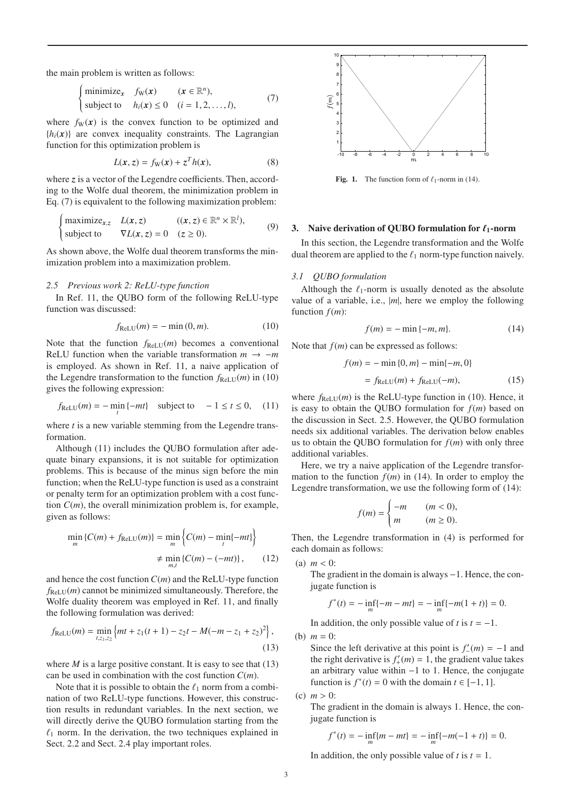the main problem is written as follows:

$$
\begin{cases}\n\text{minimize}_{\mathbf{x}} & f_{\mathbf{W}}(\mathbf{x}) \quad (\mathbf{x} \in \mathbb{R}^n), \\
\text{subject to} & h_i(\mathbf{x}) \le 0 \quad (i = 1, 2, \dots, l),\n\end{cases} \tag{7}
$$

where  $f_W(x)$  is the convex function to be optimized and  ${h_i(x)}$  are convex inequality constraints. The Lagrangian function for this optimization problem is

$$
L(x, z) = fW(x) + zT h(x),
$$
 (8)

where *z* is a vector of the Legendre coefficients. Then, according to the Wolfe dual theorem, the minimization problem in Eq. (7) is equivalent to the following maximization problem:

$$
\begin{cases}\n\text{maximize}_{x,z} & L(x,z) \\
\text{subject to} & \nabla L(x,z) = 0 \quad (z \ge 0).\n\end{cases} \tag{9}
$$

As shown above, the Wolfe dual theorem transforms the minimization problem into a maximization problem.

### *2.5 Previous work 2: ReLU-type function*

In Ref. 11, the QUBO form of the following ReLU-type function was discussed:

$$
f_{\text{ReLU}}(m) = -\min(0, m). \tag{10}
$$

Note that the function  $f_{ReLU}(m)$  becomes a conventional ReLU function when the variable transformation  $m \rightarrow -m$ is employed. As shown in Ref. 11, a naive application of the Legendre transformation to the function  $f_{ReLU}(m)$  in (10) gives the following expression:

$$
f_{\text{ReLU}}(m) = -\min_{t} \{-mt\} \quad \text{subject to} \quad -1 \le t \le 0, \quad (11)
$$

where *t* is a new variable stemming from the Legendre transformation.

Although (11) includes the QUBO formulation after adequate binary expansions, it is not suitable for optimization problems. This is because of the minus sign before the min function; when the ReLU-type function is used as a constraint or penalty term for an optimization problem with a cost function  $C(m)$ , the overall minimization problem is, for example, given as follows:

$$
\min_{m} \{ C(m) + f_{\text{ReLU}}(m) \} = \min_{m} \left\{ C(m) - \min_{t} \{-mt\} \right\}
$$

$$
\neq \min_{m,t} \left\{ C(m) - (-mt) \right\}, \qquad (12)
$$

and hence the cost function *C*(*m*) and the ReLU-type function  $f_{ReLU}(m)$  cannot be minimized simultaneously. Therefore, the Wolfe duality theorem was employed in Ref. 11, and finally the following formulation was derived:

$$
f_{\text{ReLU}}(m) = \min_{t, z_1, z_2} \left\{ mt + z_1(t+1) - z_2t - M(-m - z_1 + z_2)^2 \right\},\tag{13}
$$

where  $M$  is a large positive constant. It is easy to see that  $(13)$ can be used in combination with the cost function *C*(*m*).

Note that it is possible to obtain the  $\ell_1$  norm from a combination of two ReLU-type functions. However, this construction results in redundant variables. In the next section, we will directly derive the QUBO formulation starting from the  $\ell_1$  norm. In the derivation, the two techniques explained in Sect. 2.2 and Sect. 2.4 play important roles.



Fig. 1. The function form of  $\ell_1$ -norm in (14).

# 3. Naive derivation of QUBO formulation for  $\ell_1$ -norm

In this section, the Legendre transformation and the Wolfe dual theorem are applied to the  $\ell_1$  norm-type function naively.

#### *3.1 QUBO formulation*

Although the  $\ell_1$ -norm is usually denoted as the absolute value of a variable, i.e., |*m*|, here we employ the following function *f*(*m*):

$$
f(m) = -\min\{-m, m\}.\tag{14}
$$

Note that *f*(*m*) can be expressed as follows:

$$
f(m) = -\min\{0, m\} - \min\{-m, 0\}
$$

$$
= f_{\text{ReLU}}(m) + f_{\text{ReLU}}(-m),
$$
(15)

where  $f_{\text{ReLU}}(m)$  is the ReLU-type function in (10). Hence, it is easy to obtain the QUBO formulation for  $f(m)$  based on the discussion in Sect. 2.5. However, the QUBO formulation needs six additional variables. The derivation below enables us to obtain the QUBO formulation for  $f(m)$  with only three additional variables.

Here, we try a naive application of the Legendre transformation to the function  $f(m)$  in (14). In order to employ the Legendre transformation, we use the following form of (14):

$$
f(m) = \begin{cases} -m & (m < 0), \\ m & (m \ge 0). \end{cases}
$$

Then, the Legendre transformation in (4) is performed for each domain as follows:

(a) 
$$
m < 0
$$
:

The gradient in the domain is always −1. Hence, the conjugate function is

$$
f^*(t) = -\inf_m\{-m - mt\} = -\inf_m\{-m(1+t)\} = 0.
$$

In addition, the only possible value of  $t$  is  $t = -1$ .

(b)  $m = 0$ :

Since the left derivative at this point is  $f'_{-}(m) = -1$  and the right derivative is  $f'_{+}(m) = 1$ , the gradient value takes an arbitrary value within −1 to 1. Hence, the conjugate function is  $f^*(t) = 0$  with the domain  $t \in [-1, 1]$ .

(c) 
$$
m > 0
$$
:

The gradient in the domain is always 1. Hence, the conjugate function is

$$
f^*(t) = -\inf_m\{m - mt\} = -\inf_m\{-m(-1+t)\} = 0.
$$

In addition, the only possible value of  $t$  is  $t = 1$ .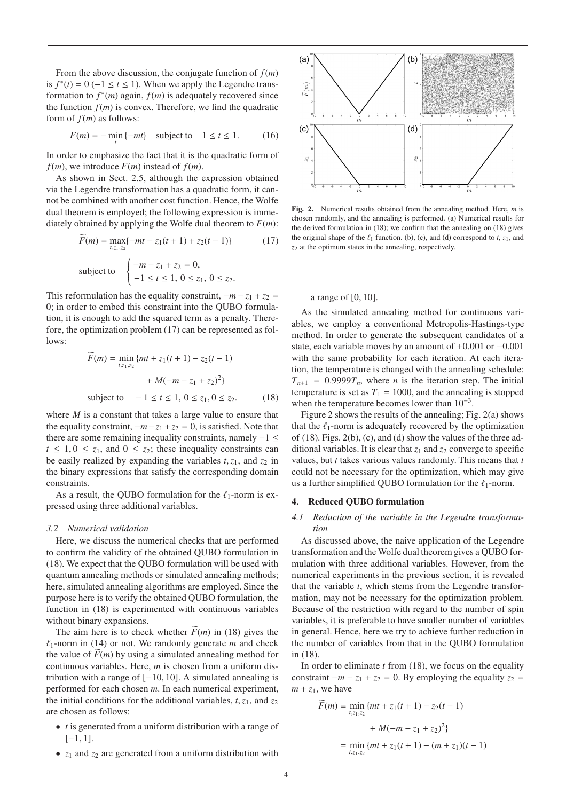From the above discussion, the conjugate function of *f*(*m*) is  $f^*(t) = 0$  (−1 ≤  $t \le 1$ ). When we apply the Legendre transformation to  $f^*(m)$  again,  $f(m)$  is adequately recovered since the function  $f(m)$  is convex. Therefore, we find the quadratic form of *f*(*m*) as follows:

$$
F(m) = -\min_{t} \{-mt\} \quad \text{subject to} \quad 1 \le t \le 1. \tag{16}
$$

In order to emphasize the fact that it is the quadratic form of  $f(m)$ , we introduce  $F(m)$  instead of  $f(m)$ .

As shown in Sect. 2.5, although the expression obtained via the Legendre transformation has a quadratic form, it cannot be combined with another cost function. Hence, the Wolfe dual theorem is employed; the following expression is immediately obtained by applying the Wolfe dual theorem to  $F(m)$ :

$$
\widetilde{F}(m) = \max_{t, z_1, z_2} \{-mt - z_1(t+1) + z_2(t-1)\}\tag{17}
$$
\nsubject to

\n
$$
\begin{cases}\n-m - z_1 + z_2 = 0, \\
-1 \le t \le 1, \ 0 \le z_1, \ 0 \le z_2.\n\end{cases}
$$

This reformulation has the equality constraint,  $-m - z_1 + z_2 =$ 0; in order to embed this constraint into the QUBO formulation, it is enough to add the squared term as a penalty. Therefore, the optimization problem (17) can be represented as follows:

$$
\widetilde{F}(m) = \min_{t,z_1,z_2} \{ mt + z_1(t+1) - z_2(t-1) + M(-m - z_1 + z_2)^2 \}
$$
  
subject to 
$$
-1 \le t \le 1, 0 \le z_1, 0 \le z_2.
$$
 (18)

where *M* is a constant that takes a large value to ensure that the equality constraint,  $-m-z_1+z_2=0$ , is satisfied. Note that there are some remaining inequality constraints, namely −1 ≤  $t \leq 1, 0 \leq z_1$ , and  $0 \leq z_2$ ; these inequality constraints can be easily realized by expanding the variables  $t$ ,  $z_1$ , and  $z_2$  in the binary expressions that satisfy the corresponding domain constraints.

As a result, the QUBO formulation for the  $\ell_1$ -norm is expressed using three additional variables.

# *3.2 Numerical validation*

Here, we discuss the numerical checks that are performed to confirm the validity of the obtained QUBO formulation in (18). We expect that the QUBO formulation will be used with quantum annealing methods or simulated annealing methods; here, simulated annealing algorithms are employed. Since the purpose here is to verify the obtained QUBO formulation, the function in (18) is experimented with continuous variables without binary expansions.

The aim here is to check whether  $\widetilde{F}(m)$  in (18) gives the  $\ell_1$ -norm in (14) or not. We randomly generate *m* and check the value of  $\overline{F}(m)$  by using a simulated annealing method for continuous variables. Here, *m* is chosen from a uniform distribution with a range of  $[-10, 10]$ . A simulated annealing is performed for each chosen *m*. In each numerical experiment, the initial conditions for the additional variables,  $t$ ,  $z_1$ , and  $z_2$ are chosen as follows:

- *t* is generated from a uniform distribution with a range of  $[-1, 1].$
- $z_1$  and  $z_2$  are generated from a uniform distribution with



Fig. 2. Numerical results obtained from the annealing method. Here, *m* is chosen randomly, and the annealing is performed. (a) Numerical results for the derived formulation in (18); we confirm that the annealing on (18) gives the original shape of the  $\ell_1$  function. (b), (c), and (d) correspond to  $t$ ,  $z_1$ , and *z*<sup>2</sup> at the optimum states in the annealing, respectively.

# a range of [0, 10].

As the simulated annealing method for continuous variables, we employ a conventional Metropolis-Hastings-type method. In order to generate the subsequent candidates of a state, each variable moves by an amount of +0.001 or −0.001 with the same probability for each iteration. At each iteration, the temperature is changed with the annealing schedule:  $T_{n+1}$  = 0.9999 $T_n$ , where *n* is the iteration step. The initial temperature is set as  $T_1 = 1000$ , and the annealing is stopped when the temperature becomes lower than  $10^{-3}$ .

Figure 2 shows the results of the annealing; Fig. 2(a) shows that the  $\ell_1$ -norm is adequately recovered by the optimization of (18). Figs. 2(b), (c), and (d) show the values of the three additional variables. It is clear that  $z_1$  and  $z_2$  converge to specific values, but *t* takes various values randomly. This means that *t* could not be necessary for the optimization, which may give us a further simplified QUBO formulation for the  $\ell_1$ -norm.

### 4. Reduced QUBO formulation

# *4.1 Reduction of the variable in the Legendre transformation*

As discussed above, the naive application of the Legendre transformation and the Wolfe dual theorem gives a QUBO formulation with three additional variables. However, from the numerical experiments in the previous section, it is revealed that the variable *t*, which stems from the Legendre transformation, may not be necessary for the optimization problem. Because of the restriction with regard to the number of spin variables, it is preferable to have smaller number of variables in general. Hence, here we try to achieve further reduction in the number of variables from that in the QUBO formulation in (18).

In order to eliminate *t* from (18), we focus on the equality constraint  $-m - z_1 + z_2 = 0$ . By employing the equality  $z_2 =$  $m + z_1$ , we have

$$
\widetilde{F}(m) = \min_{t,z_1,z_2} \{ mt + z_1(t+1) - z_2(t-1) + M(-m - z_1 + z_2)^2 \}
$$

$$
= \min_{t,z_1,z_2} \{ mt + z_1(t+1) - (m + z_1)(t-1) \}
$$